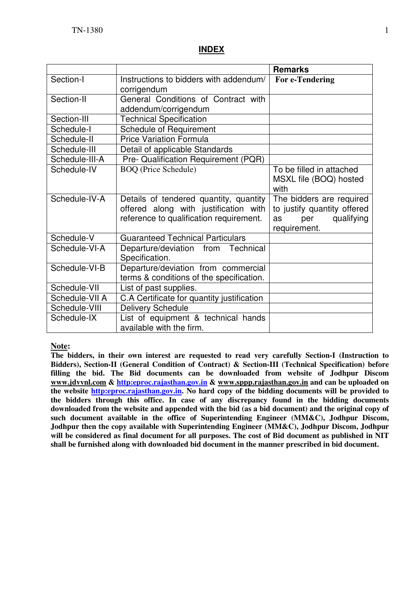### **INDEX**

|                |                                                                                                                            | <b>Remarks</b>                                                                                     |
|----------------|----------------------------------------------------------------------------------------------------------------------------|----------------------------------------------------------------------------------------------------|
| Section-I      | Instructions to bidders with addendum/<br>corrigendum                                                                      | For e-Tendering                                                                                    |
| Section-II     | General Conditions of Contract with<br>addendum/corrigendum                                                                |                                                                                                    |
| Section-III    | <b>Technical Specification</b>                                                                                             |                                                                                                    |
| Schedule-I     | <b>Schedule of Requirement</b>                                                                                             |                                                                                                    |
| Schedule-II    | <b>Price Variation Formula</b>                                                                                             |                                                                                                    |
| Schedule-III   | Detail of applicable Standards                                                                                             |                                                                                                    |
| Schedule-III-A | Pre- Qualification Requirement (PQR)                                                                                       |                                                                                                    |
| Schedule-IV    | <b>BOQ</b> (Price Schedule)                                                                                                | To be filled in attached<br>MSXL file (BOQ) hosted<br>with                                         |
| Schedule-IV-A  | Details of tendered quantity, quantity<br>offered along with justification with<br>reference to qualification requirement. | The bidders are required<br>to justify quantity offered<br>qualifying<br>per<br>as<br>requirement. |
| Schedule-V     | <b>Guaranteed Technical Particulars</b>                                                                                    |                                                                                                    |
| Schedule-VI-A  | Departure/deviation from Technical<br>Specification.                                                                       |                                                                                                    |
| Schedule-VI-B  | Departure/deviation from commercial<br>terms & conditions of the specification.                                            |                                                                                                    |
| Schedule-VII   | List of past supplies.                                                                                                     |                                                                                                    |
| Schedule-VII A | C.A Certificate for quantity justification                                                                                 |                                                                                                    |
| Schedule-VIII  | <b>Delivery Schedule</b>                                                                                                   |                                                                                                    |
| Schedule-IX    | List of equipment & technical hands<br>available with the firm.                                                            |                                                                                                    |

#### **Note:**

**The bidders, in their own interest are requested to read very carefully Section-I (Instruction to Bidders), Section-II (General Condition of Contract) & Section-III (Technical Specification) before filling the bid. The Bid documents can be downloaded from website of Jodhpur Discom www.jdvvnl.com & http:eproc.rajasthan.gov.in & www.sppp.rajasthan.gov.in and can be uploaded on the website http:eproc.rajasthan.gov.in. No hard copy of the bidding documents will be provided to the bidders through this office. In case of any discrepancy found in the bidding documents downloaded from the website and appended with the bid (as a bid document) and the original copy of such document available in the office of Superintending Engineer (MM&C), Jodhpur Discom, Jodhpur then the copy available with Superintending Engineer (MM&C), Jodhpur Discom, Jodhpur will be considered as final document for all purposes. The cost of Bid document as published in NIT shall be furnished along with downloaded bid document in the manner prescribed in bid document.**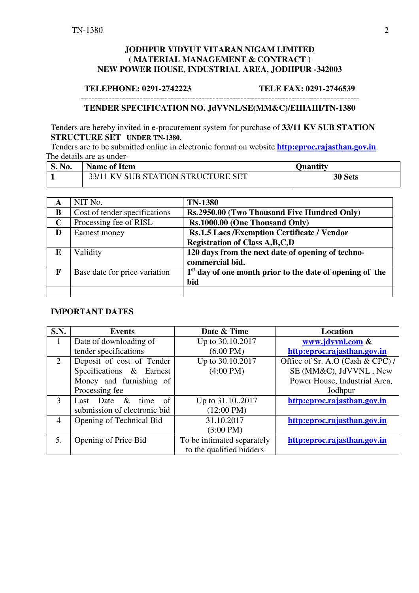#### **JODHPUR VIDYUT VITARAN NIGAM LIMITED ( MATERIAL MANAGEMENT & CONTRACT ) NEW POWER HOUSE, INDUSTRIAL AREA, JODHPUR -342003**

#### **TELEPHONE: 0291-2742223 TELE FAX: 0291-2746539**

#### --------------------------------------------------------------------------------------------------- **TENDER SPECIFICATION NO. JdVVNL/SE(MM&C)/EIIIAIII/TN-1380**

Tenders are hereby invited in e-procurement system for purchase of **33/11 KV SUB STATION STRUCTURE SET UNDER TN-1380.** 

Tenders are to be submitted online in electronic format on website **http:eproc.rajasthan.gov.in**. The details are as under-

| <b>S. No.</b> | <b>Name of Item</b>                | <b>Ouantity</b> |
|---------------|------------------------------------|-----------------|
|               | 33/11 KV SUB STATION STRUCTURE SET | <b>30 Sets</b>  |

| A           | NIT No.                       | <b>TN-1380</b>                                             |
|-------------|-------------------------------|------------------------------------------------------------|
| B           | Cost of tender specifications | Rs.2950.00 (Two Thousand Five Hundred Only)                |
| $\mathbf C$ | Processing fee of RISL        | Rs.1000.00 (One Thousand Only)                             |
| D           | Earnest money                 | Rs.1.5 Lacs / Exemption Certificate / Vendor               |
|             |                               | <b>Registration of Class A,B,C,D</b>                       |
| E           | Validity                      | 120 days from the next date of opening of techno-          |
|             |                               | commercial bid.                                            |
| F           | Base date for price variation | $1st$ day of one month prior to the date of opening of the |
|             |                               | bid                                                        |
|             |                               |                                                            |

#### **IMPORTANT DATES**

| <b>S.N.</b>  | <b>Events</b>                   | Date & Time                | Location                         |
|--------------|---------------------------------|----------------------------|----------------------------------|
| $\mathbf{1}$ | Date of downloading of          | Up to 30.10.2017           | www.jdvvnl.com &                 |
|              | tender specifications           | $(6.00 \text{ PM})$        | http:eproc.rajasthan.gov.in      |
| 2            | Deposit of cost of Tender       | Up to 30.10.2017           | Office of Sr. A.O (Cash & CPC) / |
|              | Specifications & Earnest        | $(4:00 \text{ PM})$        | SE (MM&C), JdVVNL, New           |
|              | Money and furnishing of         |                            | Power House, Industrial Area,    |
|              | Processing fee                  |                            | Jodhpur                          |
| 3            | time<br>$\&$<br>of<br>Last Date | Up to 31.102017            | http:eproc.rajasthan.gov.in      |
|              | submission of electronic bid    | $(12:00 \text{ PM})$       |                                  |
| 4            | Opening of Technical Bid        | 31.10.2017                 | http:eproc.rajasthan.gov.in      |
|              |                                 | $(3:00 \text{ PM})$        |                                  |
| 5.           | Opening of Price Bid            | To be intimated separately | http:eproc.rajasthan.gov.in      |
|              |                                 | to the qualified bidders   |                                  |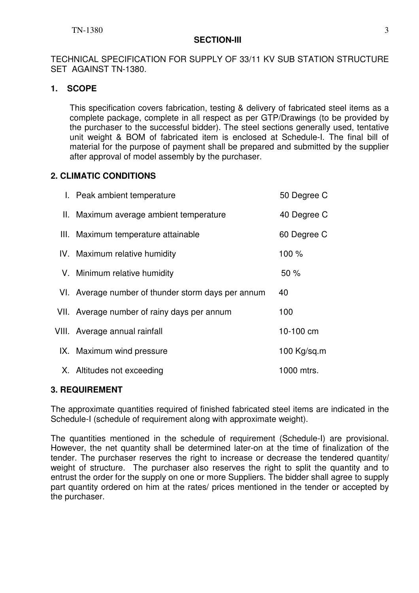### **SECTION-III**

TECHNICAL SPECIFICATION FOR SUPPLY OF 33/11 KV SUB STATION STRUCTURE SET AGAINST TN-1380.

## **1. SCOPE**

This specification covers fabrication, testing & delivery of fabricated steel items as a complete package, complete in all respect as per GTP/Drawings (to be provided by the purchaser to the successful bidder). The steel sections generally used, tentative unit weight & BOM of fabricated item is enclosed at Schedule-I. The final bill of material for the purpose of payment shall be prepared and submitted by the supplier after approval of model assembly by the purchaser.

## **2. CLIMATIC CONDITIONS**

| I. Peak ambient temperature                        | 50 Degree C   |
|----------------------------------------------------|---------------|
| II. Maximum average ambient temperature            | 40 Degree C   |
| III. Maximum temperature attainable                | 60 Degree C   |
| IV. Maximum relative humidity                      | 100 %         |
| V. Minimum relative humidity                       | 50%           |
| VI. Average number of thunder storm days per annum | 40            |
| VII. Average number of rainy days per annum        | 100           |
| VIII. Average annual rainfall                      | 10-100 cm     |
| IX. Maximum wind pressure                          | 100 $Kg/sq.m$ |
| X. Altitudes not exceeding                         | 1000 mtrs.    |

### **3. REQUIREMENT**

The approximate quantities required of finished fabricated steel items are indicated in the Schedule-I (schedule of requirement along with approximate weight).

The quantities mentioned in the schedule of requirement (Schedule-I) are provisional. However, the net quantity shall be determined later-on at the time of finalization of the tender. The purchaser reserves the right to increase or decrease the tendered quantity/ weight of structure. The purchaser also reserves the right to split the quantity and to entrust the order for the supply on one or more Suppliers. The bidder shall agree to supply part quantity ordered on him at the rates/ prices mentioned in the tender or accepted by the purchaser.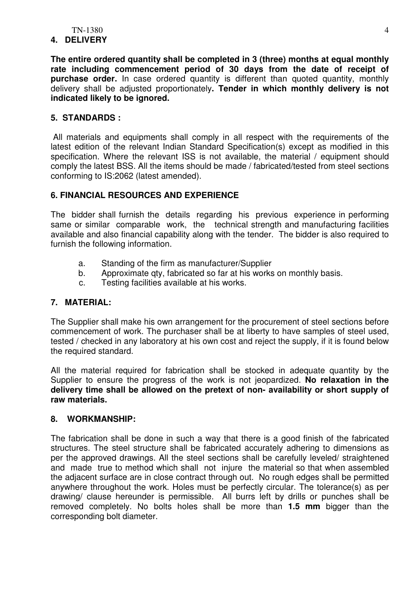#### **4. DELIVERY**

**The entire ordered quantity shall be completed in 3 (three) months at equal monthly rate including commencement period of 30 days from the date of receipt of purchase order.** In case ordered quantity is different than quoted quantity, monthly delivery shall be adjusted proportionately**. Tender in which monthly delivery is not indicated likely to be ignored.**

### **5. STANDARDS :**

All materials and equipments shall comply in all respect with the requirements of the latest edition of the relevant Indian Standard Specification(s) except as modified in this specification. Where the relevant ISS is not available, the material / equipment should comply the latest BSS. All the items should be made / fabricated/tested from steel sections conforming to IS:2062 (latest amended).

### **6. FINANCIAL RESOURCES AND EXPERIENCE**

The bidder shall furnish the details regarding his previous experience in performing same or similar comparable work, the technical strength and manufacturing facilities available and also financial capability along with the tender. The bidder is also required to furnish the following information.

- a. Standing of the firm as manufacturer/Supplier
- b. Approximate qty, fabricated so far at his works on monthly basis.
- c. Testing facilities available at his works.

#### **7. MATERIAL:**

The Supplier shall make his own arrangement for the procurement of steel sections before commencement of work. The purchaser shall be at liberty to have samples of steel used, tested / checked in any laboratory at his own cost and reject the supply, if it is found below the required standard.

All the material required for fabrication shall be stocked in adequate quantity by the Supplier to ensure the progress of the work is not jeopardized. **No relaxation in the delivery time shall be allowed on the pretext of non- availability or short supply of raw materials.** 

#### **8. WORKMANSHIP:**

The fabrication shall be done in such a way that there is a good finish of the fabricated structures. The steel structure shall be fabricated accurately adhering to dimensions as per the approved drawings. All the steel sections shall be carefully leveled/ straightened and made true to method which shall not injure the material so that when assembled the adjacent surface are in close contract through out. No rough edges shall be permitted anywhere throughout the work. Holes must be perfectly circular. The tolerance(s) as per drawing/ clause hereunder is permissible. All burrs left by drills or punches shall be removed completely. No bolts holes shall be more than **1.5 mm** bigger than the corresponding bolt diameter.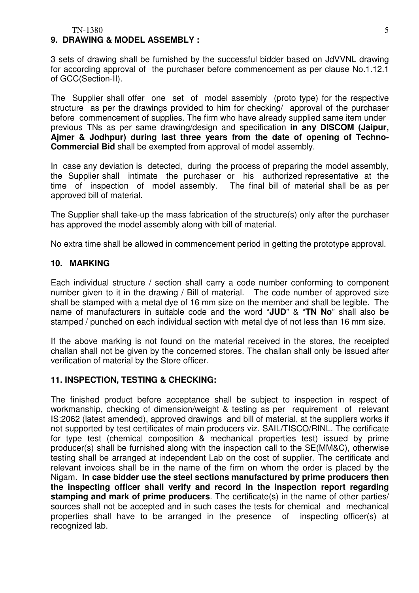TN-1380 5

#### **9. DRAWING & MODEL ASSEMBLY :**

3 sets of drawing shall be furnished by the successful bidder based on JdVVNL drawing for according approval of the purchaser before commencement as per clause No.1.12.1 of GCC(Section-II).

The Supplier shall offer one set of model assembly (proto type) for the respective structure as per the drawings provided to him for checking/ approval of the purchaser before commencement of supplies. The firm who have already supplied same item under previous TNs as per same drawing/design and specification **in any DISCOM (Jaipur, Ajmer & Jodhpur) during last three years from the date of opening of Techno-Commercial Bid** shall be exempted from approval of model assembly.

In case any deviation is detected, during the process of preparing the model assembly, the Supplier shall intimate the purchaser or his authorized representative at the time of inspection of model assembly. The final bill of material shall be as per approved bill of material.

The Supplier shall take-up the mass fabrication of the structure(s) only after the purchaser has approved the model assembly along with bill of material.

No extra time shall be allowed in commencement period in getting the prototype approval.

#### **10. MARKING**

Each individual structure / section shall carry a code number conforming to component number given to it in the drawing / Bill of material. The code number of approved size shall be stamped with a metal dye of 16 mm size on the member and shall be legible. The name of manufacturers in suitable code and the word "**JUD**" & "**TN No**" shall also be stamped / punched on each individual section with metal dye of not less than 16 mm size.

If the above marking is not found on the material received in the stores, the receipted challan shall not be given by the concerned stores. The challan shall only be issued after verification of material by the Store officer.

#### **11. INSPECTION, TESTING & CHECKING:**

The finished product before acceptance shall be subject to inspection in respect of workmanship, checking of dimension/weight & testing as per requirement of relevant IS:2062 (latest amended), approved drawings and bill of material, at the suppliers works if not supported by test certificates of main producers viz. SAIL/TISCO/RINL. The certificate for type test (chemical composition & mechanical properties test) issued by prime producer(s) shall be furnished along with the inspection call to the SE(MM&C), otherwise testing shall be arranged at independent Lab on the cost of supplier. The certificate and relevant invoices shall be in the name of the firm on whom the order is placed by the Nigam. **In case bidder use the steel sections manufactured by prime producers then the inspecting officer shall verify and record in the inspection report regarding stamping and mark of prime producers**. The certificate(s) in the name of other parties/ sources shall not be accepted and in such cases the tests for chemical and mechanical properties shall have to be arranged in the presence of inspecting officer(s) at recognized lab.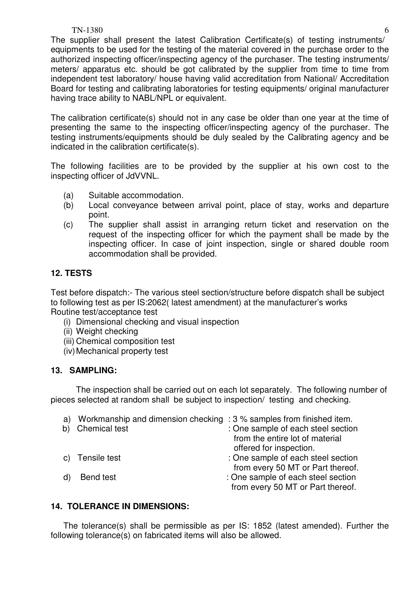### TN-1380 6

The supplier shall present the latest Calibration Certificate(s) of testing instruments/ equipments to be used for the testing of the material covered in the purchase order to the authorized inspecting officer/inspecting agency of the purchaser. The testing instruments/ meters/ apparatus etc. should be got calibrated by the supplier from time to time from independent test laboratory/ house having valid accreditation from National/ Accreditation Board for testing and calibrating laboratories for testing equipments/ original manufacturer having trace ability to NABL/NPL or equivalent.

The calibration certificate(s) should not in any case be older than one year at the time of presenting the same to the inspecting officer/inspecting agency of the purchaser. The testing instruments/equipments should be duly sealed by the Calibrating agency and be indicated in the calibration certificate(s).

The following facilities are to be provided by the supplier at his own cost to the inspecting officer of JdVVNL.

- (a) Suitable accommodation.
- (b) Local conveyance between arrival point, place of stay, works and departure point.
- (c) The supplier shall assist in arranging return ticket and reservation on the request of the inspecting officer for which the payment shall be made by the inspecting officer. In case of joint inspection, single or shared double room accommodation shall be provided.

## **12. TESTS**

Test before dispatch:- The various steel section/structure before dispatch shall be subject to following test as per IS:2062( latest amendment) at the manufacturer's works Routine test/acceptance test

- (i) Dimensional checking and visual inspection
- (ii) Weight checking
- (iii) Chemical composition test
- (iv) Mechanical property test

### **13. SAMPLING:**

The inspection shall be carried out on each lot separately. The following number of pieces selected at random shall be subject to inspection/ testing and checking.

|    | a) Workmanship and dimension checking : 3 % samples from finished item. |                                    |
|----|-------------------------------------------------------------------------|------------------------------------|
| b) | <b>Chemical test</b>                                                    | : One sample of each steel section |
|    |                                                                         | from the entire lot of material    |
|    |                                                                         | offered for inspection.            |
|    | c) Tensile test                                                         | : One sample of each steel section |
|    |                                                                         | from every 50 MT or Part thereof.  |
|    | Bend test                                                               | : One sample of each steel section |
|    |                                                                         | from every 50 MT or Part thereof.  |
|    |                                                                         |                                    |

### **14. TOLERANCE IN DIMENSIONS:**

The tolerance(s) shall be permissible as per IS: 1852 (latest amended). Further the following tolerance(s) on fabricated items will also be allowed.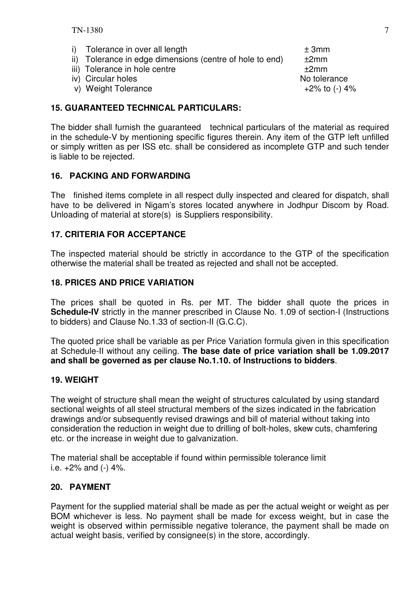i) Tolerance in over all length  $\pm 3$ mm ii) Tolerance in edge dimensions (centre of hole to end)  $±2mm$ iii) Tolerance in hole centre  $+2$ mm iv) Circular holes No tolerance v) Weight Tolerance  $+2\%$  to  $(-)$  4%

### **15. GUARANTEED TECHNICAL PARTICULARS:**

The bidder shall furnish the guaranteed technical particulars of the material as required in the schedule-V by mentioning specific figures therein. Any item of the GTP left unfilled or simply written as per ISS etc. shall be considered as incomplete GTP and such tender is liable to be rejected.

#### **16. PACKING AND FORWARDING**

The finished items complete in all respect dully inspected and cleared for dispatch, shall have to be delivered in Nigam's stores located anywhere in Jodhpur Discom by Road. Unloading of material at store(s) is Suppliers responsibility.

#### **17. CRITERIA FOR ACCEPTANCE**

The inspected material should be strictly in accordance to the GTP of the specification otherwise the material shall be treated as rejected and shall not be accepted.

#### **18. PRICES AND PRICE VARIATION**

The prices shall be quoted in Rs. per MT. The bidder shall quote the prices in **Schedule-IV** strictly in the manner prescribed in Clause No. 1.09 of section-I (Instructions to bidders) and Clause No.1.33 of section-II (G.C.C).

The quoted price shall be variable as per Price Variation formula given in this specification at Schedule-II without any ceiling. **The base date of price variation shall be 1.09.2017 and shall be governed as per clause No.1.10. of Instructions to bidders**.

#### **19. WEIGHT**

The weight of structure shall mean the weight of structures calculated by using standard sectional weights of all steel structural members of the sizes indicated in the fabrication drawings and/or subsequently revised drawings and bill of material without taking into consideration the reduction in weight due to drilling of bolt-holes, skew cuts, chamfering etc. or the increase in weight due to galvanization.

The material shall be acceptable if found within permissible tolerance limit i.e.  $+2\%$  and  $(-)$  4%.

#### **20. PAYMENT**

Payment for the supplied material shall be made as per the actual weight or weight as per BOM whichever is less. No payment shall be made for excess weight, but in case the weight is observed within permissible negative tolerance, the payment shall be made on actual weight basis, verified by consignee(s) in the store, accordingly.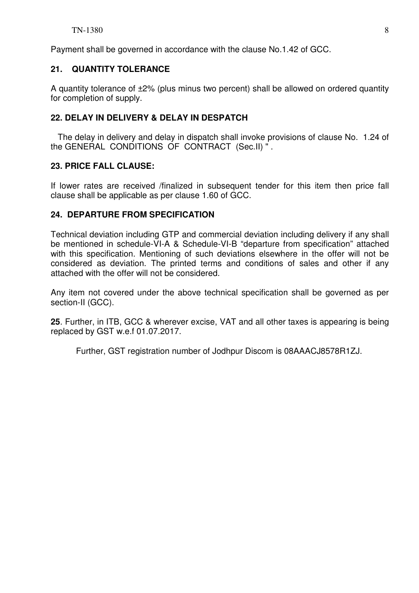Payment shall be governed in accordance with the clause No.1.42 of GCC.

## **21. QUANTITY TOLERANCE**

A quantity tolerance of ±2% (plus minus two percent) shall be allowed on ordered quantity for completion of supply.

## **22. DELAY IN DELIVERY & DELAY IN DESPATCH**

 The delay in delivery and delay in dispatch shall invoke provisions of clause No. 1.24 of the GENERAL CONDITIONS OF CONTRACT (Sec.II) " .

## **23. PRICE FALL CLAUSE:**

If lower rates are received /finalized in subsequent tender for this item then price fall clause shall be applicable as per clause 1.60 of GCC.

## **24. DEPARTURE FROM SPECIFICATION**

Technical deviation including GTP and commercial deviation including delivery if any shall be mentioned in schedule-VI-A & Schedule-VI-B "departure from specification" attached with this specification. Mentioning of such deviations elsewhere in the offer will not be considered as deviation. The printed terms and conditions of sales and other if any attached with the offer will not be considered.

Any item not covered under the above technical specification shall be governed as per section-II (GCC).

**25**. Further, in ITB, GCC & wherever excise, VAT and all other taxes is appearing is being replaced by GST w.e.f 01.07.2017.

Further, GST registration number of Jodhpur Discom is 08AAACJ8578R1ZJ.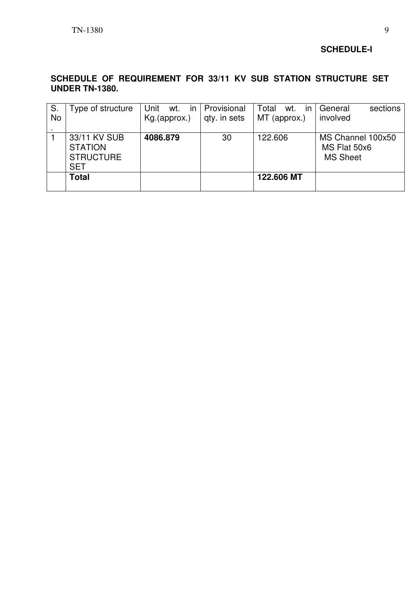### **SCHEDULE-I**

## **SCHEDULE OF REQUIREMENT FOR 33/11 KV SUB STATION STRUCTURE SET UNDER TN-1380.**

| S.<br><b>No</b> | Type of structure                                                | wt. $in$<br>Unit<br>Kg.(approx.) | Provisional<br>qty. in sets | Total<br>wt.<br>$\mathsf{I}$<br>MT (approx.) | sections<br>General<br>involved                      |
|-----------------|------------------------------------------------------------------|----------------------------------|-----------------------------|----------------------------------------------|------------------------------------------------------|
|                 | 33/11 KV SUB<br><b>STATION</b><br><b>STRUCTURE</b><br><b>SET</b> | 4086.879                         | 30                          | 122.606                                      | MS Channel 100x50<br>MS Flat 50x6<br><b>MS Sheet</b> |
|                 | <b>Total</b>                                                     |                                  |                             | 122,606 MT                                   |                                                      |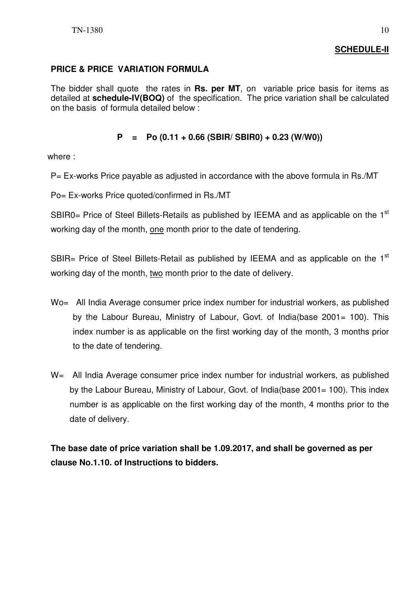## **SCHEDULE-II**

## **PRICE & PRICE VARIATION FORMULA**

The bidder shall quote the rates in **Rs. per MT**, on variable price basis for items as detailed at **schedule-IV(BOQ)** of the specification. The price variation shall be calculated on the basis of formula detailed below :

### **P = Po (0.11 + 0.66 (SBIR/ SBIR0) + 0.23 (W/W0))**

where :

P= Ex-works Price payable as adjusted in accordance with the above formula in Rs./MT

Po= Ex-works Price quoted/confirmed in Rs./MT

SBIR0= Price of Steel Billets-Retails as published by IEEMA and as applicable on the  $1<sup>st</sup>$ working day of the month, one month prior to the date of tendering.

SBIR= Price of Steel Billets-Retail as published by IEEMA and as applicable on the  $1<sup>st</sup>$ working day of the month, two month prior to the date of delivery.

- Wo= All India Average consumer price index number for industrial workers, as published by the Labour Bureau, Ministry of Labour, Govt. of India(base 2001= 100). This index number is as applicable on the first working day of the month, 3 months prior to the date of tendering.
- W= All India Average consumer price index number for industrial workers, as published by the Labour Bureau, Ministry of Labour, Govt. of India(base 2001= 100). This index number is as applicable on the first working day of the month, 4 months prior to the date of delivery.

**The base date of price variation shall be 1.09.2017, and shall be governed as per clause No.1.10. of Instructions to bidders.**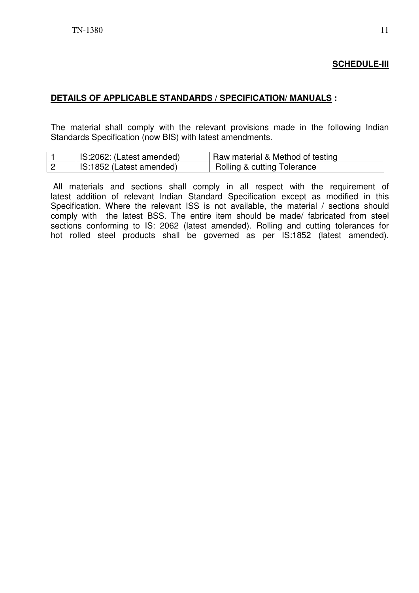## **SCHEDULE-III**

#### **DETAILS OF APPLICABLE STANDARDS / SPECIFICATION/ MANUALS :**

The material shall comply with the relevant provisions made in the following Indian Standards Specification (now BIS) with latest amendments.

| IS:2062: (Latest amended) | Raw material & Method of testing       |
|---------------------------|----------------------------------------|
| IS:1852 (Latest amended)  | <b>Rolling &amp; cutting Tolerance</b> |

 All materials and sections shall comply in all respect with the requirement of latest addition of relevant Indian Standard Specification except as modified in this Specification. Where the relevant ISS is not available, the material / sections should comply with the latest BSS. The entire item should be made/ fabricated from steel sections conforming to IS: 2062 (latest amended). Rolling and cutting tolerances for hot rolled steel products shall be governed as per IS:1852 (latest amended).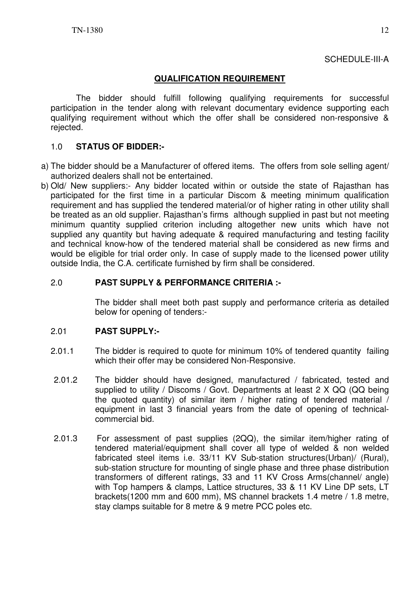### **QUALIFICATION REQUIREMENT**

The bidder should fulfill following qualifying requirements for successful participation in the tender along with relevant documentary evidence supporting each qualifying requirement without which the offer shall be considered non-responsive & rejected.

### 1.0 **STATUS OF BIDDER:-**

- a) The bidder should be a Manufacturer of offered items. The offers from sole selling agent/ authorized dealers shall not be entertained.
- b) Old/ New suppliers:- Any bidder located within or outside the state of Rajasthan has participated for the first time in a particular Discom & meeting minimum qualification requirement and has supplied the tendered material/or of higher rating in other utility shall be treated as an old supplier. Rajasthan's firms although supplied in past but not meeting minimum quantity supplied criterion including altogether new units which have not supplied any quantity but having adequate & required manufacturing and testing facility and technical know-how of the tendered material shall be considered as new firms and would be eligible for trial order only. In case of supply made to the licensed power utility outside India, the C.A. certificate furnished by firm shall be considered.

### 2.0 **PAST SUPPLY & PERFORMANCE CRITERIA :-**

 The bidder shall meet both past supply and performance criteria as detailed below for opening of tenders:-

#### 2.01 **PAST SUPPLY:-**

- 2.01.1 The bidder is required to quote for minimum 10% of tendered quantity failing which their offer may be considered Non-Responsive.
- 2.01.2 The bidder should have designed, manufactured / fabricated, tested and supplied to utility / Discoms / Govt. Departments at least 2 X QQ (QQ being the quoted quantity) of similar item / higher rating of tendered material / equipment in last 3 financial years from the date of opening of technicalcommercial bid.
- 2.01.3 For assessment of past supplies (2QQ), the similar item/higher rating of tendered material/equipment shall cover all type of welded & non welded fabricated steel items i.e. 33/11 KV Sub-station structures(Urban)/ (Rural), sub-station structure for mounting of single phase and three phase distribution transformers of different ratings, 33 and 11 KV Cross Arms(channel/ angle) with Top hampers & clamps, Lattice structures, 33 & 11 KV Line DP sets, LT brackets(1200 mm and 600 mm), MS channel brackets 1.4 metre / 1.8 metre, stay clamps suitable for 8 metre & 9 metre PCC poles etc.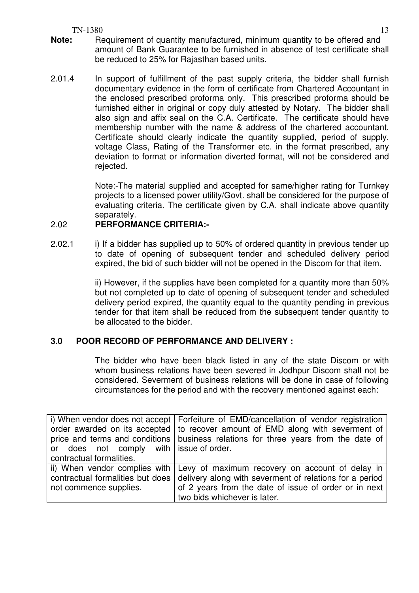TN-1380 13

- **Note:** Requirement of quantity manufactured, minimum quantity to be offered and amount of Bank Guarantee to be furnished in absence of test certificate shall be reduced to 25% for Rajasthan based units.
- 2.01.4 In support of fulfillment of the past supply criteria, the bidder shall furnish documentary evidence in the form of certificate from Chartered Accountant in the enclosed prescribed proforma only. This prescribed proforma should be furnished either in original or copy duly attested by Notary. The bidder shall also sign and affix seal on the C.A. Certificate. The certificate should have membership number with the name & address of the chartered accountant. Certificate should clearly indicate the quantity supplied, period of supply, voltage Class, Rating of the Transformer etc. in the format prescribed, any deviation to format or information diverted format, will not be considered and rejected.

Note:-The material supplied and accepted for same/higher rating for Turnkey projects to a licensed power utility/Govt. shall be considered for the purpose of evaluating criteria. The certificate given by C.A. shall indicate above quantity separately.

### 2.02 **PERFORMANCE CRITERIA:-**

2.02.1 i) If a bidder has supplied up to 50% of ordered quantity in previous tender up to date of opening of subsequent tender and scheduled delivery period expired, the bid of such bidder will not be opened in the Discom for that item.

> ii) However, if the supplies have been completed for a quantity more than 50% but not completed up to date of opening of subsequent tender and scheduled delivery period expired, the quantity equal to the quantity pending in previous tender for that item shall be reduced from the subsequent tender quantity to be allocated to the bidder.

### **3.0 POOR RECORD OF PERFORMANCE AND DELIVERY :**

The bidder who have been black listed in any of the state Discom or with whom business relations have been severed in Jodhpur Discom shall not be considered. Severment of business relations will be done in case of following circumstances for the period and with the recovery mentioned against each:

|                                         | i) When vendor does not accept   Forfeiture of EMD/cancellation of vendor registration |
|-----------------------------------------|----------------------------------------------------------------------------------------|
|                                         | order awarded on its accepted   to recover amount of EMD along with severment of       |
|                                         | price and terms and conditions   business relations for three years from the date of   |
| or does not comply with issue of order. |                                                                                        |
| contractual formalities.                |                                                                                        |
|                                         | ii) When vendor complies with   Levy of maximum recovery on account of delay in        |
| contractual formalities but does        | delivery along with severment of relations for a period                                |
| not commence supplies.                  | of 2 years from the date of issue of order or in next                                  |
|                                         | two bids whichever is later.                                                           |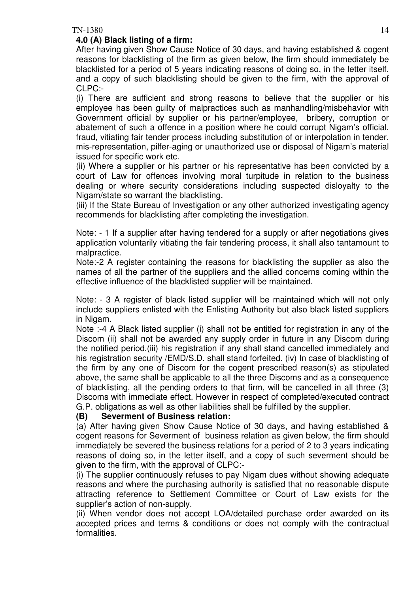## **4.0 (A) Black listing of a firm:**

After having given Show Cause Notice of 30 days, and having established & cogent reasons for blacklisting of the firm as given below, the firm should immediately be blacklisted for a period of 5 years indicating reasons of doing so, in the letter itself, and a copy of such blacklisting should be given to the firm, with the approval of CLPC:-

(i) There are sufficient and strong reasons to believe that the supplier or his employee has been guilty of malpractices such as manhandling/misbehavior with Government official by supplier or his partner/employee, bribery, corruption or abatement of such a offence in a position where he could corrupt Nigam's official, fraud, vitiating fair tender process including substitution of or interpolation in tender, mis-representation, pilfer-aging or unauthorized use or disposal of Nigam's material issued for specific work etc.

(ii) Where a supplier or his partner or his representative has been convicted by a court of Law for offences involving moral turpitude in relation to the business dealing or where security considerations including suspected disloyalty to the Nigam/state so warrant the blacklisting.

(iii) If the State Bureau of Investigation or any other authorized investigating agency recommends for blacklisting after completing the investigation.

Note: - 1 If a supplier after having tendered for a supply or after negotiations gives application voluntarily vitiating the fair tendering process, it shall also tantamount to malpractice.

Note:-2 A register containing the reasons for blacklisting the supplier as also the names of all the partner of the suppliers and the allied concerns coming within the effective influence of the blacklisted supplier will be maintained.

Note: - 3 A register of black listed supplier will be maintained which will not only include suppliers enlisted with the Enlisting Authority but also black listed suppliers in Nigam.

Note :-4 A Black listed supplier (i) shall not be entitled for registration in any of the Discom (ii) shall not be awarded any supply order in future in any Discom during the notified period.(iii) his registration if any shall stand cancelled immediately and his registration security /EMD/S.D. shall stand forfeited. (iv) In case of blacklisting of the firm by any one of Discom for the cogent prescribed reason(s) as stipulated above, the same shall be applicable to all the three Discoms and as a consequence of blacklisting, all the pending orders to that firm, will be cancelled in all three (3) Discoms with immediate effect. However in respect of completed/executed contract G.P. obligations as well as other liabilities shall be fulfilled by the supplier.

### **(B) Severment of Business relation:**

(a) After having given Show Cause Notice of 30 days, and having established & cogent reasons for Severment of business relation as given below, the firm should immediately be severed the business relations for a period of 2 to 3 years indicating reasons of doing so, in the letter itself, and a copy of such severment should be given to the firm, with the approval of CLPC:-

(i) The supplier continuously refuses to pay Nigam dues without showing adequate reasons and where the purchasing authority is satisfied that no reasonable dispute attracting reference to Settlement Committee or Court of Law exists for the supplier's action of non-supply.

(ii) When vendor does not accept LOA/detailed purchase order awarded on its accepted prices and terms & conditions or does not comply with the contractual formalities.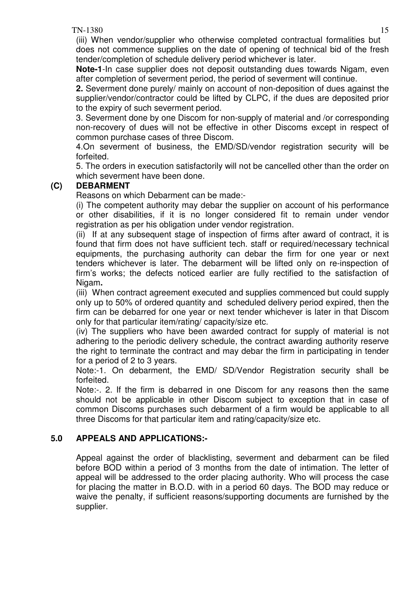TN-1380 15 (iii) When vendor/supplier who otherwise completed contractual formalities but does not commence supplies on the date of opening of technical bid of the fresh tender/completion of schedule delivery period whichever is later.

**Note-1**-In case supplier does not deposit outstanding dues towards Nigam, even after completion of severment period, the period of severment will continue.

**2.** Severment done purely/ mainly on account of non-deposition of dues against the supplier/vendor/contractor could be lifted by CLPC, if the dues are deposited prior to the expiry of such severment period.

3. Severment done by one Discom for non-supply of material and /or corresponding non-recovery of dues will not be effective in other Discoms except in respect of common purchase cases of three Discom.

4.On severment of business, the EMD/SD/vendor registration security will be forfeited.

5. The orders in execution satisfactorily will not be cancelled other than the order on which severment have been done.

## **(C) DEBARMENT**

Reasons on which Debarment can be made:-

(i) The competent authority may debar the supplier on account of his performance or other disabilities, if it is no longer considered fit to remain under vendor registration as per his obligation under vendor registration.

(ii) If at any subsequent stage of inspection of firms after award of contract, it is found that firm does not have sufficient tech. staff or required/necessary technical equipments, the purchasing authority can debar the firm for one year or next tenders whichever is later. The debarment will be lifted only on re-inspection of firm's works; the defects noticed earlier are fully rectified to the satisfaction of Nigam**.** 

(iii) When contract agreement executed and supplies commenced but could supply only up to 50% of ordered quantity and scheduled delivery period expired, then the firm can be debarred for one year or next tender whichever is later in that Discom only for that particular item/rating/ capacity/size etc.

(iv) The suppliers who have been awarded contract for supply of material is not adhering to the periodic delivery schedule, the contract awarding authority reserve the right to terminate the contract and may debar the firm in participating in tender for a period of 2 to 3 years.

Note:-1. On debarment, the EMD/ SD/Vendor Registration security shall be forfeited.

Note:-. 2. If the firm is debarred in one Discom for any reasons then the same should not be applicable in other Discom subject to exception that in case of common Discoms purchases such debarment of a firm would be applicable to all three Discoms for that particular item and rating/capacity/size etc.

## **5.0 APPEALS AND APPLICATIONS:-**

Appeal against the order of blacklisting, severment and debarment can be filed before BOD within a period of 3 months from the date of intimation. The letter of appeal will be addressed to the order placing authority. Who will process the case for placing the matter in B.O.D. with in a period 60 days. The BOD may reduce or waive the penalty, if sufficient reasons/supporting documents are furnished by the supplier.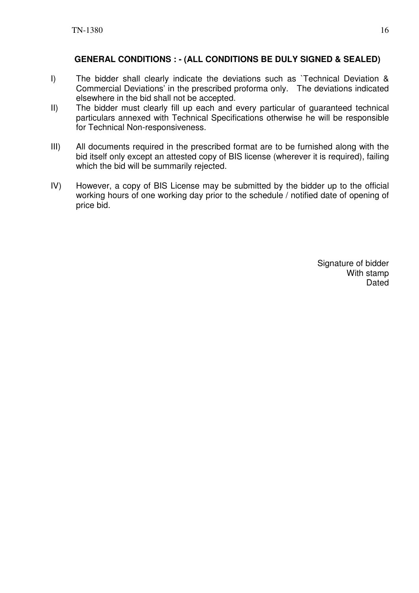## **GENERAL CONDITIONS : - (ALL CONDITIONS BE DULY SIGNED & SEALED)**

- I) The bidder shall clearly indicate the deviations such as `Technical Deviation & Commercial Deviations' in the prescribed proforma only. The deviations indicated elsewhere in the bid shall not be accepted.
- II) The bidder must clearly fill up each and every particular of guaranteed technical particulars annexed with Technical Specifications otherwise he will be responsible for Technical Non-responsiveness.
- III) All documents required in the prescribed format are to be furnished along with the bid itself only except an attested copy of BIS license (wherever it is required), failing which the bid will be summarily rejected.
- IV) However, a copy of BIS License may be submitted by the bidder up to the official working hours of one working day prior to the schedule / notified date of opening of price bid.

Signature of bidder With stamp Dated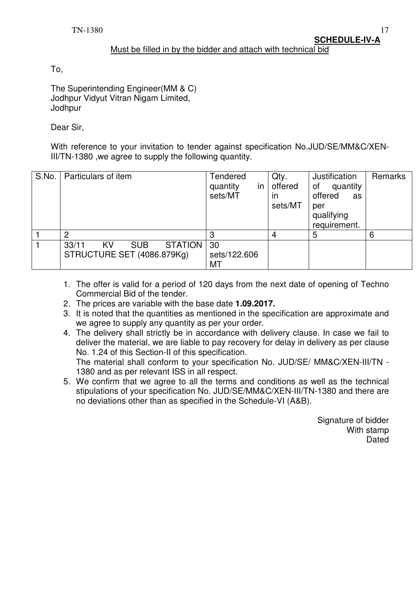#### Must be filled in by the bidder and attach with technical bid

To,

The Superintending Engineer(MM & C) Jodhpur Vidyut Vitran Nigam Limited, **Jodhpur** 

Dear Sir,

With reference to your invitation to tender against specification No.JUD/SE/MM&C/XEN-III/TN-1380 ,we agree to supply the following quantity.

| S.No. | Particulars of item                                                       | Tendered<br>quantity<br>in<br>sets/MT | Qty.<br>offered<br>ın<br>sets/MT | Justification<br>quantity<br>οf<br>offered<br>as<br>per<br>qualifying<br>requirement. | Remarks |
|-------|---------------------------------------------------------------------------|---------------------------------------|----------------------------------|---------------------------------------------------------------------------------------|---------|
|       | っ                                                                         | 3                                     | 4                                | 5                                                                                     | 6       |
|       | <b>STATION</b><br>33/11<br><b>SUB</b><br>KV<br>STRUCTURE SET (4086.879Kg) | 30<br>sets/122.606<br>МT              |                                  |                                                                                       |         |

- 1. The offer is valid for a period of 120 days from the next date of opening of Techno Commercial Bid of the tender.
- 2. The prices are variable with the base date **1.09.2017.**
- 3. It is noted that the quantities as mentioned in the specification are approximate and we agree to supply any quantity as per your order.
- 4. The delivery shall strictly be in accordance with delivery clause. In case we fail to deliver the material, we are liable to pay recovery for delay in delivery as per clause No. 1.24 of this Section-II of this specification.

The material shall conform to your specification No. JUD/SE/ MM&C/XEN-III/TN - 1380 and as per relevant ISS in all respect.

5. We confirm that we agree to all the terms and conditions as well as the technical stipulations of your specification No. JUD/SE/MM&C/XEN-III/TN-1380 and there are no deviations other than as specified in the Schedule-VI (A&B).

> Signature of bidder With stamp **Dated**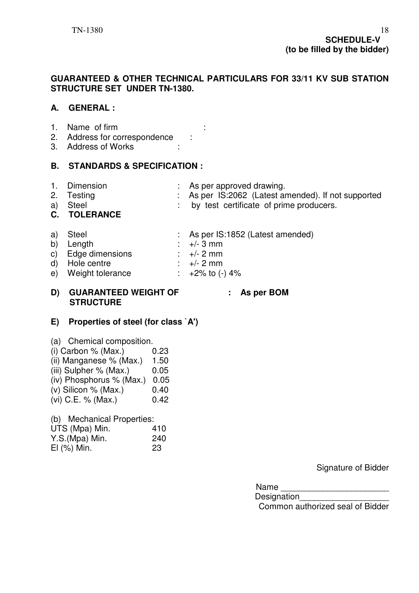#### **GUARANTEED & OTHER TECHNICAL PARTICULARS FOR 33/11 KV SUB STATION STRUCTURE SET UNDER TN-1380.**

### **A. GENERAL :**

- 1. Name of firm :
- 2. Address for correspondence :
- 3. Address of Works :

### **B. STANDARDS & SPECIFICATION :**

- 
- 1. Dimension : As per approved drawing.<br>2. Testing : . . . . . . . . . . As per IS:2062 (Latest a 2. As per IS:2062 (Latest amended). If not supported
- a) Steel : by test certificate of prime producers.

### **C. TOLERANCE**

- a) Steel : As per IS:1852 (Latest amended)
- b) Length  $\cdot +/- 3$  mm
- c) Edge dimensions :  $+/- 2$  mm<br>d) Hole centre :  $+/- 2$  mm
- d) Hole centre
- e) Weight tolerance  $\therefore$  +2% to (-) 4%

### **D) GUARANTEED WEIGHT OF : As per BOM STRUCTURE**

### **E) Properties of steel (for class `A')**

- (a) Chemical composition.  $(i)$  Carbon % (Max.)  $0.23$
- (ii) Manganese  $%$  (Max.) 1.50
- (iii) Sulpher  $%$  (Max.)  $0.05$
- (iv) Phosphorus % (Max.) 0.05
- (v) Silicon % (Max.)  $0.40$
- (vi) C.E. % (Max.) 0.42
- (b) Mechanical Properties:

| (D) Mechanical Properties: |     |
|----------------------------|-----|
| UTS (Mpa) Min.             | 410 |
| Y.S.(Mpa) Min.             | 240 |
| $El$ $(\%)$ Min.           | 23  |

Signature of Bidder

Name \_\_\_\_\_\_\_\_\_\_\_\_\_\_\_\_\_\_\_\_\_\_\_

Designation

Common authorized seal of Bidder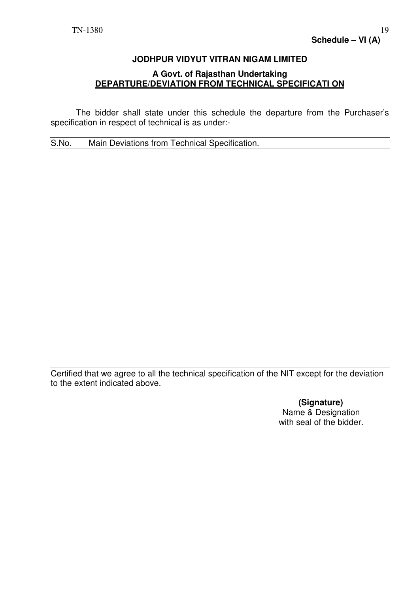# **JODHPUR VIDYUT VITRAN NIGAM LIMITED A Govt. of Rajasthan Undertaking DEPARTURE/DEVIATION FROM TECHNICAL SPECIFICATI ON**

 The bidder shall state under this schedule the departure from the Purchaser's specification in respect of technical is as under:-

S.No. Main Deviations from Technical Specification.

Certified that we agree to all the technical specification of the NIT except for the deviation to the extent indicated above.

> **(Signature)**  Name & Designation with seal of the bidder.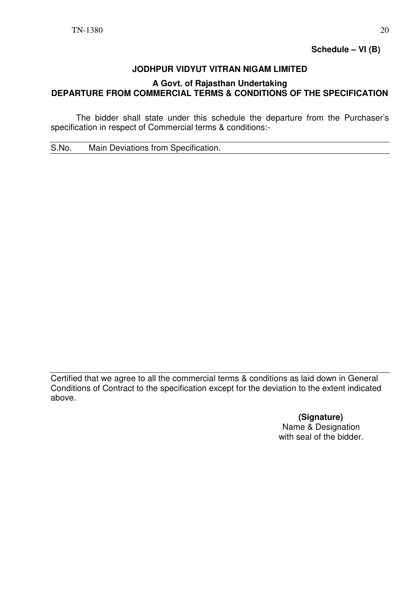**Schedule – VI (B)** 

### **JODHPUR VIDYUT VITRAN NIGAM LIMITED**

### **A Govt. of Rajasthan Undertaking DEPARTURE FROM COMMERCIAL TERMS & CONDITIONS OF THE SPECIFICATION**

 The bidder shall state under this schedule the departure from the Purchaser's specification in respect of Commercial terms & conditions:-

S.No. Main Deviations from Specification.

Certified that we agree to all the commercial terms & conditions as laid down in General Conditions of Contract to the specification except for the deviation to the extent indicated above.

> **(Signature)**  Name & Designation with seal of the bidder.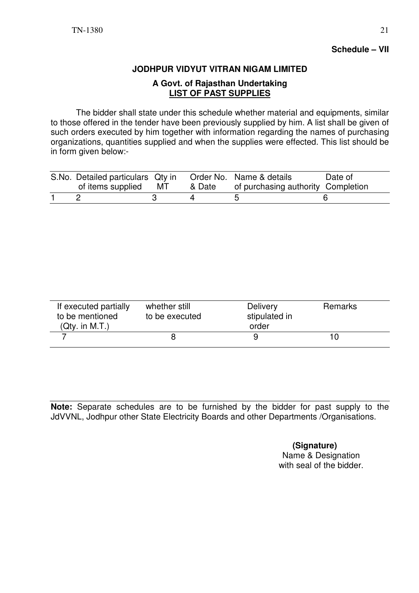## **Schedule – VII**

### **JODHPUR VIDYUT VITRAN NIGAM LIMITED**

#### **A Govt. of Rajasthan Undertaking LIST OF PAST SUPPLIES**

 The bidder shall state under this schedule whether material and equipments, similar to those offered in the tender have been previously supplied by him. A list shall be given of such orders executed by him together with information regarding the names of purchasing organizations, quantities supplied and when the supplies were effected. This list should be in form given below:-

| S.No. Detailed particulars Qty in Order No. Name & details<br>of items supplied MT |  | & Date of purchasing authority Completion | Date of |
|------------------------------------------------------------------------------------|--|-------------------------------------------|---------|
|                                                                                    |  |                                           |         |

| If executed partially<br>to be mentioned<br>(Qty. in M.T.) | whether still<br>to be executed | <b>Delivery</b><br>stipulated in<br>order | Remarks |  |
|------------------------------------------------------------|---------------------------------|-------------------------------------------|---------|--|
|                                                            |                                 |                                           |         |  |

**Note:** Separate schedules are to be furnished by the bidder for past supply to the JdVVNL, Jodhpur other State Electricity Boards and other Departments /Organisations.

> **(Signature)**  Name & Designation with seal of the bidder.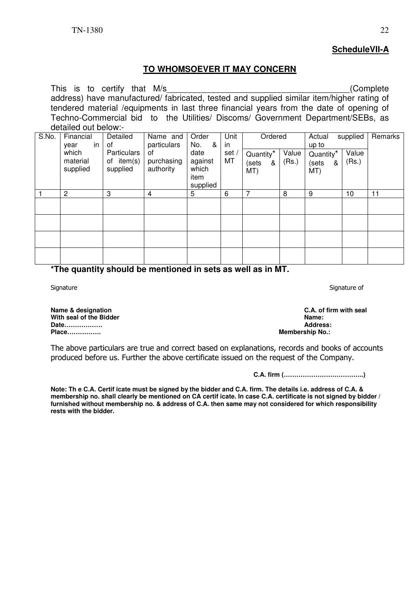### **ScheduleVII-A**

### **TO WHOMSOEVER IT MAY CONCERN**

| This is to certify that M/s<br>(Complete)<br>address) have manufactured/ fabricated, tested and supplied similar item/higher rating of<br>tendered material / equipments in last three financial years from the date of opening of<br>Techno-Commercial bid to the Utilities/ Discoms/ Government Department/SEBs, as<br>detailed out below:- |              |                    |             |           |       |                       |       |                       |          |         |
|-----------------------------------------------------------------------------------------------------------------------------------------------------------------------------------------------------------------------------------------------------------------------------------------------------------------------------------------------|--------------|--------------------|-------------|-----------|-------|-----------------------|-------|-----------------------|----------|---------|
| S.No.                                                                                                                                                                                                                                                                                                                                         | Financial    | Detailed           | Name and    | Order     | Unit  | Ordered               |       | Actual                | supplied | Remarks |
|                                                                                                                                                                                                                                                                                                                                               | in I<br>year | 0f                 | particulars | ୍ୟ<br>No. | in.   |                       |       | up to                 |          |         |
|                                                                                                                                                                                                                                                                                                                                               | which        | <b>Particulars</b> | οf          | date      | set / | Quantity <sup>*</sup> | Value | Quantity <sup>*</sup> | Value    |         |
|                                                                                                                                                                                                                                                                                                                                               | material     | of item(s)         | purchasing  | against   | MT    | (sets<br>&            | (Rs.) | (sets<br>&            | (Rs.)    |         |
|                                                                                                                                                                                                                                                                                                                                               | supplied     | supplied           | authority   | which     |       |                       |       |                       |          |         |
|                                                                                                                                                                                                                                                                                                                                               |              |                    |             | item      |       | MT)                   |       | MT)                   |          |         |
|                                                                                                                                                                                                                                                                                                                                               |              |                    |             |           |       |                       |       |                       |          |         |
|                                                                                                                                                                                                                                                                                                                                               |              |                    |             | supplied  |       |                       |       |                       |          |         |
|                                                                                                                                                                                                                                                                                                                                               | 2            | 3                  | 4           | 5         | 6     | 7                     | 8     | 9                     | 10       | 11      |
|                                                                                                                                                                                                                                                                                                                                               |              |                    |             |           |       |                       |       |                       |          |         |
|                                                                                                                                                                                                                                                                                                                                               |              |                    |             |           |       |                       |       |                       |          |         |
|                                                                                                                                                                                                                                                                                                                                               |              |                    |             |           |       |                       |       |                       |          |         |
|                                                                                                                                                                                                                                                                                                                                               |              |                    |             |           |       |                       |       |                       |          |         |
|                                                                                                                                                                                                                                                                                                                                               |              |                    |             |           |       |                       |       |                       |          |         |
|                                                                                                                                                                                                                                                                                                                                               |              |                    |             |           |       |                       |       |                       |          |         |
| ---                                                                                                                                                                                                                                                                                                                                           |              | .                  | .           | . .       |       | . .                   | ---   |                       |          |         |

**\*The quantity should be mentioned in sets as well as in MT.** 

**Name & designation and the Richard C.A. of firm with seal and Solution C.A. of firm with seal and Solution C.A. of firm with seal and Solution C.A. of firm with seal and Solution C.A. of firm with seal and Solution C.A. o With seal of the Bidder Contract of the Bidder Contract of the Bidder Contract of the Bidder Contract of the Bidder Contract of the Bidder Contract of the Bidder Contract of the Address: Date……………… Place……………. Membership No.:** 

The above particulars are true and correct based on explanations, records and books of accounts produced before us. Further the above certificate issued on the request of the Company.

**C.A. firm (………………………………..)** 

**Note: Th e C.A. Certif icate must be signed by the bidder and C.A. firm. The details i.e. address of C.A. & membership no. shall clearly be mentioned on CA certif icate. In case C.A. certificate is not signed by bidder / furnished without membership no. & address of C.A. then same may not considered for which responsibility rests with the bidder.**

Signature Signature of Signature of Signature of Signature of Signature of Signature of Signature of Signature of Signature of Signature of Signature of Signature of Signature of Signature of Signature of Signature of Sign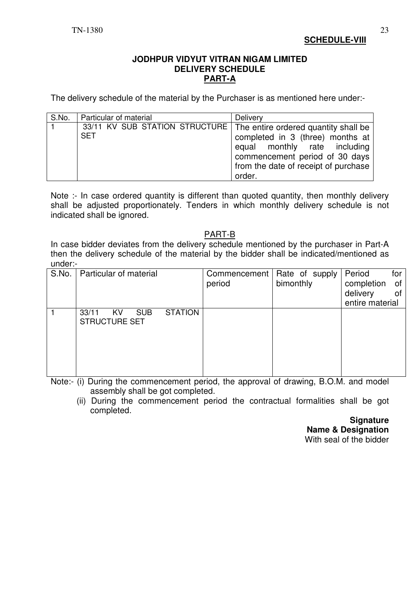**SCHEDULE-VIII**

#### **JODHPUR VIDYUT VITRAN NIGAM LIMITED DELIVERY SCHEDULE PART-A**

The delivery schedule of the material by the Purchaser is as mentioned here under:-

| S.No. | Particular of material                                                | Delivery                             |  |  |
|-------|-----------------------------------------------------------------------|--------------------------------------|--|--|
|       | 33/11 KV SUB STATION STRUCTURE   The entire ordered quantity shall be |                                      |  |  |
|       | <b>SET</b>                                                            | completed in 3 (three) months at     |  |  |
|       |                                                                       | equal monthly rate including         |  |  |
|       |                                                                       | commencement period of 30 days       |  |  |
|       |                                                                       | from the date of receipt of purchase |  |  |
|       |                                                                       | order.                               |  |  |

Note :- In case ordered quantity is different than quoted quantity, then monthly delivery shall be adjusted proportionately. Tenders in which monthly delivery schedule is not indicated shall be ignored.

### PART-B

In case bidder deviates from the delivery schedule mentioned by the purchaser in Part-A then the delivery schedule of the material by the bidder shall be indicated/mentioned as under:-

| S.No. | Particular of material                                              | period | Commencement   Rate of supply<br>bimonthly | Period<br>for<br>completion<br>of<br>delivery<br>0f<br>entire material |
|-------|---------------------------------------------------------------------|--------|--------------------------------------------|------------------------------------------------------------------------|
|       | <b>STATION</b><br>33/11<br><b>SUB</b><br>KV<br><b>STRUCTURE SET</b> |        |                                            |                                                                        |

Note:- (i) During the commencement period, the approval of drawing, B.O.M. and model assembly shall be got completed.

 (ii) During the commencement period the contractual formalities shall be got completed.

> **Signature Name & Designation**  With seal of the bidder